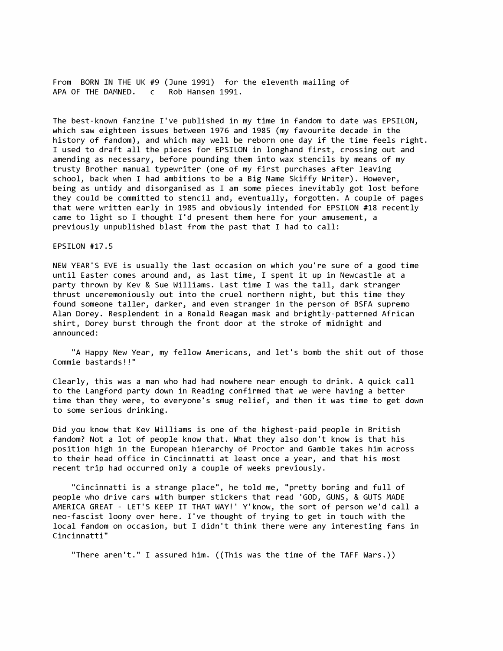From BORN IN THE UK #9 (June 1991) for the eleventh mailing of APA OF THE DAMNED. c Rob Hansen 1991.

The best-known fanzine I've published in my time in fandom to date was EPSILON, which saw eighteen issues between 1976 and 1985 (my favourite decade in the history of fandom), and which may well be reborn one day if the time feels right. I used to draft all the pieces for EPSILON in longhand first, crossing out and amending as necessary, before pounding them into wax stencils by means of my trusty Brother manual typewriter (one of my first purchases after leaving school, back when I had ambitions to be a Big Name Skiffy Writer). However, being as untidy and disorganised as I am some pieces inevitably got lost before they could be committed to stencil and, eventually, forgotten. A couple of pages that were written early in 1985 and obviously intended for EPSILON #18 recently came to light so I thought I'd present them here for your amusement, a previously unpublished blast from the past that I had to call:

## EPSILON #17.5

NEW YEAR'S EVE is usually the last occasion on which you're sure of a good time until Easter comes around and, as last time, I spent it up in Newcastle at a party thrown by Kev & Sue Williams. Last time I was the tall, dark stranger thrust unceremoniously out into the cruel northern night, but this time they found someone taller, darker, and even stranger in the person of BSFA supremo Alan Dorey. Resplendent in a Ronald Reagan mask and brightly-patterned African shirt, Dorey burst through the front door at the stroke of midnight and announced:

"A Happy New Year, my fellow Americans, and let's bomb the shit out of those Commie bastards!!"

Clearly, this was a man who had had nowhere near enough to drink. A quick call to the Langford party down in Reading confirmed that we were having a better time than they were, to everyone's smug relief, and then it was time to get down to some serious drinking.

Did you know that Kev Williams is one of the highest-paid people in British fandom? Not a lot of people know that. What they also don't know is that his position high in the European hierarchy of Proctor and Gamble takes him across to their head office in Cincinnatti at least once a year, and that his most recent trip had occurred only a couple of weeks previously.

"Cincinnatti is a strange place", he told me, "pretty boring and full of people who drive cars with bumper stickers that read 'GOD, GUNS, & GUTS MADE AMERICA GREAT - LET'S KEEP IT THAT WAY!' Y'know, the sort of person we'd call a neo-fascist loony over here. I've thought of trying to get in touch with the local fandom on occasion, but I didn't think there were any interesting fans in Cincinnatti"

There aren't." I assured him. ((This was the time of the TAFF Wars.))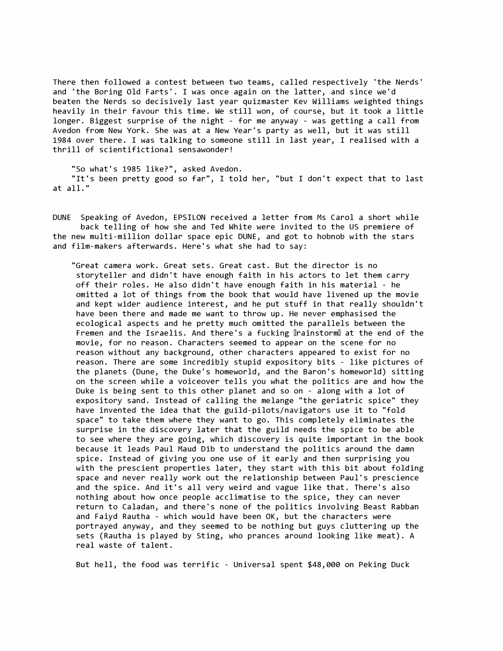There then followed a contest between two teams, called respectively 'the Nerds' and 'the Boring Old Farts'. I was once again on the latter, and since we'd beaten the Nerds so decisively last year quizmaster Kev Williams weighted things heavily in their favour this time. We still won, of course, but it took a little longer. Biggest surprise of the night - for me anyway - was getting a call from Avedon from New York. She was at a New Year's party as well, but it was still 1984 over there. I was talking to someone still in last year, I realised with a thrill of scientifictional sensawonder!

"So what's 1985 like?", asked Avedon. "It's been pretty good so far", I told her, "but I don't expect that to last at all."

DUNE Speaking of Avedon, EPSILON received a letter from Ms Carol a short while back telling of how she and Ted White were invited to the US premiere of the new multi-million dollar space epic DUNE, and got to hobnob with the stars and film-makers afterwards. Here's what she had to say:

"Great camera work. Great sets. Great cast. But the director is no storyteller and didn't have enough faith in his actors to let them carry off their roles. He also didn't have enough faith in his material - he omitted a lot of things from the book that would have livened up the movie and kept wider audience interest, and he put stuff in that really shouldn't have been there and made me want to throw up. He never emphasised the ecological aspects and he pretty much omitted the parallels between the Fremen and the Israelis. And there's a fucking DrainstormD at the end of the movie, for no reason. Characters seemed to appear on the scene for no reason without any background, other characters appeared to exist for no reason. There are some incredibly stupid expository bits - like pictures of the planets (Dune, the Duke's homeworld, and the Baron's homeworld) sitting on the screen while a voiceover tells you what the politics are and how the Duke is being sent to this other planet and so on - along with a lot of expository sand. Instead of calling the melange "the geriatric spice" they have invented the idea that the guild-pilots/navigators use it to "fold space" to take them where they want to go. This completely eliminates the surprise in the discovery later that the guild needs the spice to be able to see where they are going, which discovery is quite important in the book because it leads Paul Maud Dib to understand the politics around the damn spice. Instead of giving you one use of it early and then surprising you with the prescient properties later, they start with this bit about folding space and never really work out the relationship between Paul's prescience and the spice. And it's all very weird and vague like that. There's also nothing about how once people acclimatise to the spice, they can never return to Caladan, and there's none of the politics involving Beast Rabban and Faiyd Rautha - which would have been OK, but the characters were portrayed anyway, and they seemed to be nothing but guys cluttering up the sets (Rautha is played by Sting, who prances around looking like meat). A real waste of talent.

But hell, the food was terrific - Universal spent \$48,000 on Peking Duck